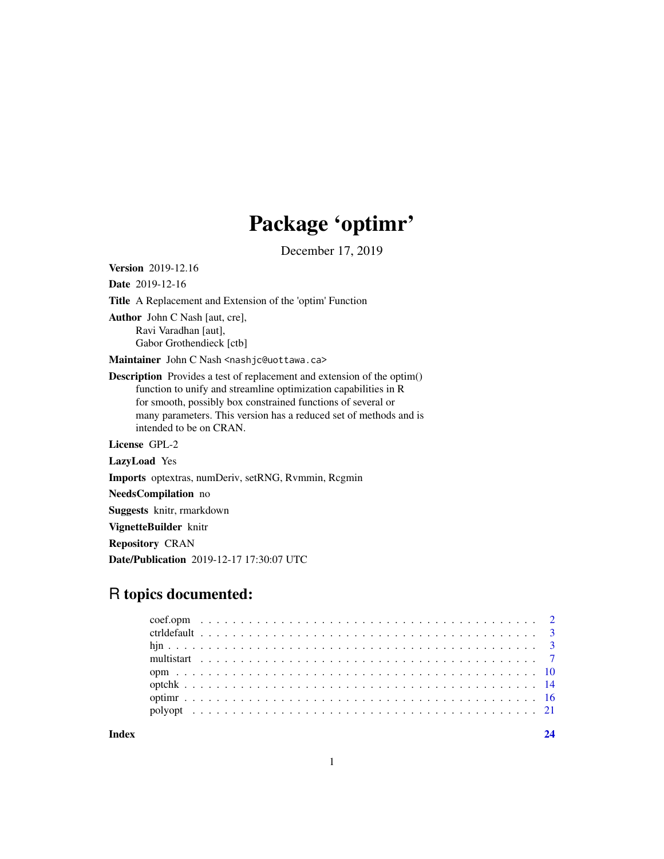# Package 'optimr'

December 17, 2019

Date 2019-12-16 Title A Replacement and Extension of the 'optim' Function Author John C Nash [aut, cre], Ravi Varadhan [aut], Gabor Grothendieck [ctb] Maintainer John C Nash <nashjc@uottawa.ca> Description Provides a test of replacement and extension of the optim() function to unify and streamline optimization capabilities in R for smooth, possibly box constrained functions of several or many parameters. This version has a reduced set of methods and is intended to be on CRAN. License GPL-2 LazyLoad Yes Imports optextras, numDeriv, setRNG, Rvmmin, Rcgmin NeedsCompilation no Suggests knitr, rmarkdown VignetteBuilder knitr Repository CRAN Date/Publication 2019-12-17 17:30:07 UTC

# R topics documented:

<span id="page-0-0"></span>Version 2019-12.16

**Index** [24](#page-23-0)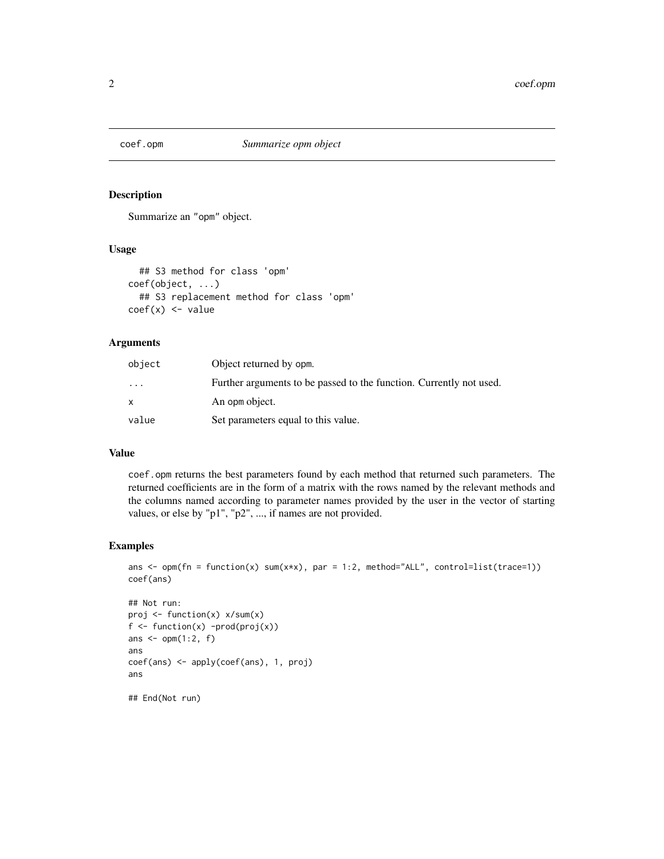<span id="page-1-0"></span>

#### Description

Summarize an "opm" object.

# Usage

```
## S3 method for class 'opm'
coef(object, ...)
  ## S3 replacement method for class 'opm'
coef(x) <- value
```
### Arguments

| object    | Object returned by opm.                                             |
|-----------|---------------------------------------------------------------------|
| $\ddotsc$ | Further arguments to be passed to the function. Currently not used. |
|           | An opm object.                                                      |
| value     | Set parameters equal to this value.                                 |

#### Value

coef.opm returns the best parameters found by each method that returned such parameters. The returned coefficients are in the form of a matrix with the rows named by the relevant methods and the columns named according to parameter names provided by the user in the vector of starting values, or else by "p1", "p2", ..., if names are not provided.

```
ans \leq opm(fn = function(x) sum(x*x), par = 1:2, method="ALL", control=list(trace=1))
coef(ans)
```

```
## Not run:
proj <- function(x) x/sum(x)
f \leftarrow function(x) -prod(proj(x))ans \leq opm(1:2, f)ans
coef(ans) <- apply(coef(ans), 1, proj)
ans
## End(Not run)
```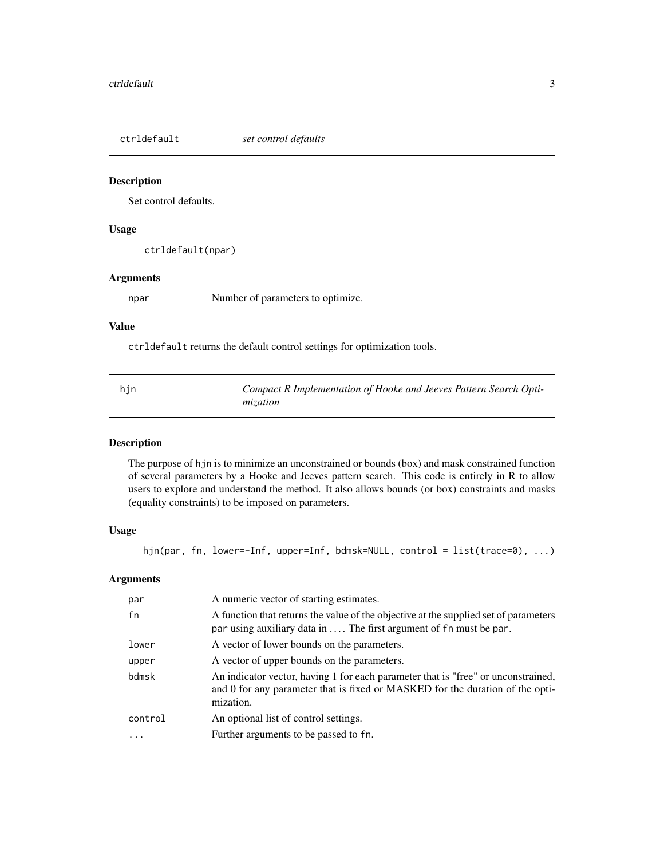<span id="page-2-0"></span>ctrldefault *set control defaults*

#### Description

Set control defaults.

#### Usage

ctrldefault(npar)

#### Arguments

npar Number of parameters to optimize.

#### Value

ctrldefault returns the default control settings for optimization tools.

| hjn | Compact R Implementation of Hooke and Jeeves Pattern Search Opti- |
|-----|-------------------------------------------------------------------|
|     | mization                                                          |

# Description

The purpose of hjn is to minimize an unconstrained or bounds (box) and mask constrained function of several parameters by a Hooke and Jeeves pattern search. This code is entirely in R to allow users to explore and understand the method. It also allows bounds (or box) constraints and masks (equality constraints) to be imposed on parameters.

### Usage

```
hjn(par, fn, lower=-Inf, upper=Inf, bdmsk=NULL, control = list(trace=0), ...)
```
# Arguments

| par     | A numeric vector of starting estimates.                                                                                                                                         |
|---------|---------------------------------------------------------------------------------------------------------------------------------------------------------------------------------|
| fn      | A function that returns the value of the objective at the supplied set of parameters<br>par using auxiliary data in  The first argument of fn must be par.                      |
| lower   | A vector of lower bounds on the parameters.                                                                                                                                     |
| upper   | A vector of upper bounds on the parameters.                                                                                                                                     |
| bdmsk   | An indicator vector, having 1 for each parameter that is "free" or unconstrained,<br>and 0 for any parameter that is fixed or MASKED for the duration of the opti-<br>mization. |
| control | An optional list of control settings.                                                                                                                                           |
|         | Further arguments to be passed to fn.                                                                                                                                           |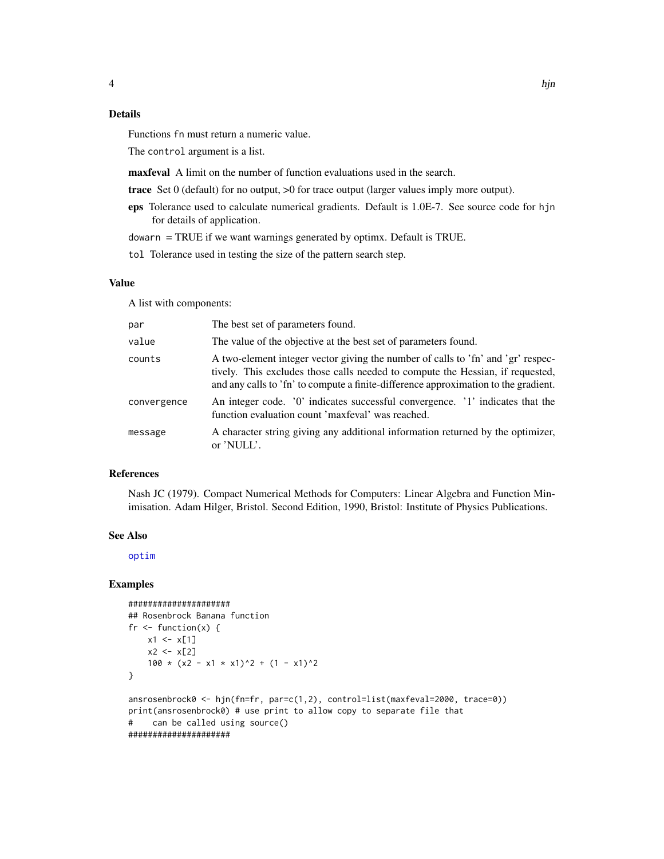# <span id="page-3-0"></span>Details

Functions fn must return a numeric value.

The control argument is a list.

maxfeval A limit on the number of function evaluations used in the search.

- trace Set 0 (default) for no output, >0 for trace output (larger values imply more output).
- eps Tolerance used to calculate numerical gradients. Default is 1.0E-7. See source code for hjn for details of application.

dowarn = TRUE if we want warnings generated by optimx. Default is TRUE.

tol Tolerance used in testing the size of the pattern search step.

#### Value

A list with components:

| par         | The best set of parameters found.                                                                                                                                                                                                                         |
|-------------|-----------------------------------------------------------------------------------------------------------------------------------------------------------------------------------------------------------------------------------------------------------|
| value       | The value of the objective at the best set of parameters found.                                                                                                                                                                                           |
| counts      | A two-element integer vector giving the number of calls to 'fn' and 'gr' respec-<br>tively. This excludes those calls needed to compute the Hessian, if requested,<br>and any calls to 'fn' to compute a finite-difference approximation to the gradient. |
| convergence | An integer code. '0' indicates successful convergence. '1' indicates that the<br>function evaluation count 'maxfeval' was reached.                                                                                                                        |
| message     | A character string giving any additional information returned by the optimizer,<br>or 'NULL'.                                                                                                                                                             |

#### References

Nash JC (1979). Compact Numerical Methods for Computers: Linear Algebra and Function Minimisation. Adam Hilger, Bristol. Second Edition, 1990, Bristol: Institute of Physics Publications.

#### See Also

[optim](#page-0-0)

```
#####################
## Rosenbrock Banana function
fr \leq function(x) {
   x1 \leftarrow x[1]x2 < - x[2]100 \times (x2 - x1 \times x1)^2 + (1 - x1)^2}
ansrosenbrock0 <- hjn(fn=fr, par=c(1,2), control=list(maxfeval=2000, trace=0))
print(ansrosenbrock0) # use print to allow copy to separate file that
# can be called using source()
#####################
```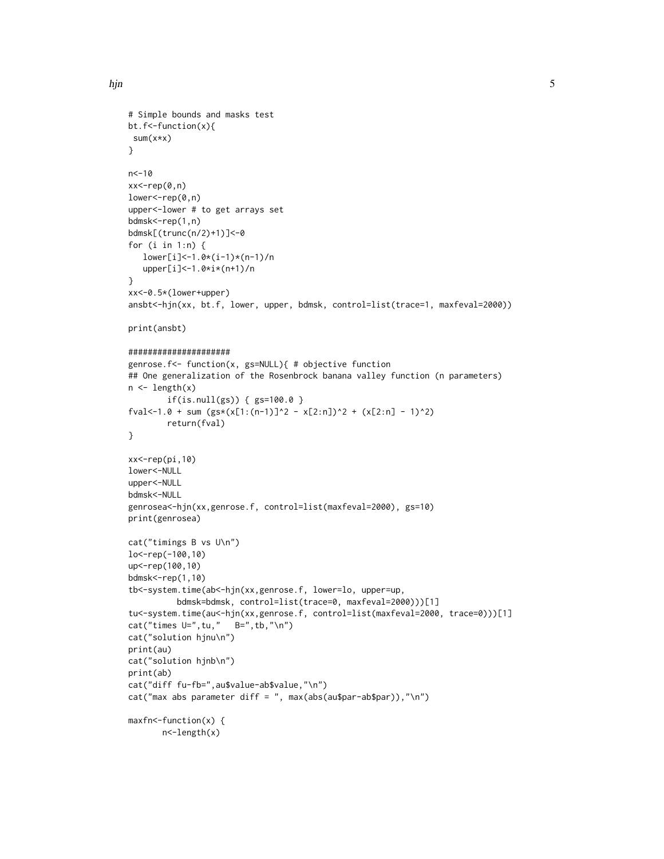```
# Simple bounds and masks test
bt.f<-function(x){
sum(x*x)
}
n < -10xx<-rep(0,n)
lower<-rep(0,n)
upper<-lower # to get arrays set
bdmsk<-rep(1,n)
bdmsk[(trunc(n/2)+1)]<-0
for (i in 1:n) {
   lower[i]<-1.0*(i-1)*(n-1)/n
   upper[i]<-1.0*i*(n+1)/n
}
xx<-0.5*(lower+upper)
ansbt<-hjn(xx, bt.f, lower, upper, bdmsk, control=list(trace=1, maxfeval=2000))
print(ansbt)
#####################
genrose.f<- function(x, gs=NULL){ # objective function
## One generalization of the Rosenbrock banana valley function (n parameters)
n <- length(x)
        if(is.null(gs)) { gs=100.0 }
fval<-1.0 + sum (gs*(x[1:(n-1)]^2 - x[2:n])^2 - (x[2:n] - 1)^2)return(fval)
}
xx<-rep(pi,10)
lower<-NULL
upper<-NULL
bdmsk<-NULL
genrosea<-hjn(xx,genrose.f, control=list(maxfeval=2000), gs=10)
print(genrosea)
cat("timings B vs U\n")
lo<-rep(-100,10)
up <- rep(100,10)
bdmsk<-rep(1,10)
tb<-system.time(ab<-hjn(xx,genrose.f, lower=lo, upper=up,
          bdmsk=bdmsk, control=list(trace=0, maxfeval=2000)))[1]
tu<-system.time(au<-hjn(xx,genrose.f, control=list(maxfeval=2000, trace=0)))[1]
cat("times U=", tu," B=", tb, "\n")
cat("solution hjnu\n")
print(au)
cat("solution hjnb\n")
print(ab)
cat("diff fu-fb=",au$value-ab$value,"\n")
cat("max abs parameter diff = ", max(abs(au$par-ab$par)),"\n")
maxfn<-function(x) {
       n<-length(x)
```
hjn 5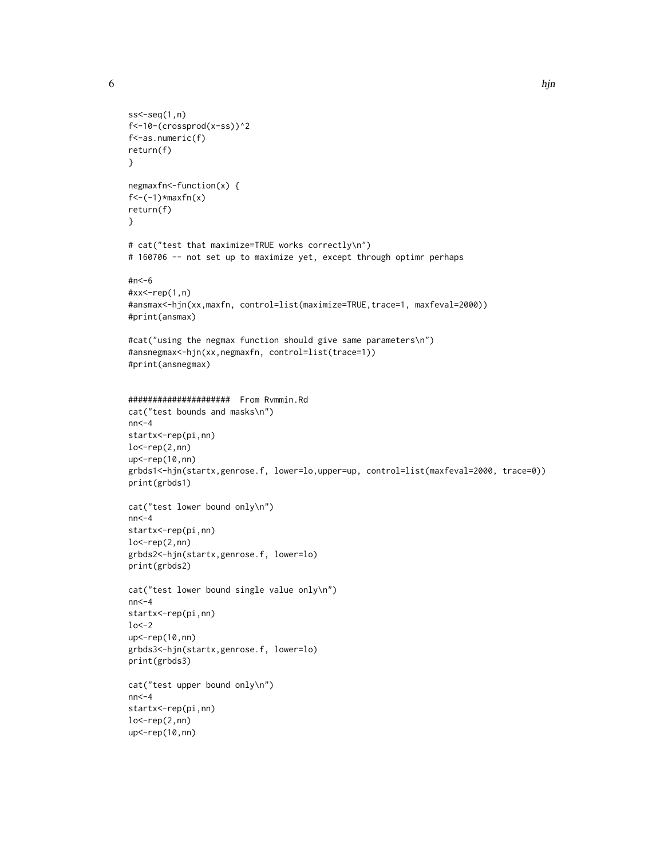```
ss < -seq(1, n)f<-10-(crossprod(x-ss))^2
f<-as.numeric(f)
return(f)
}
negmaxfn<-function(x) {
f < -(1) * maxfn(x)return(f)
}
# cat("test that maximize=TRUE works correctly\n")
# 160706 -- not set up to maximize yet, except through optimr perhaps
#n<-6
#xx<-rep(1,n)
#ansmax<-hjn(xx,maxfn, control=list(maximize=TRUE,trace=1, maxfeval=2000))
#print(ansmax)
#cat("using the negmax function should give same parameters\n")
#ansnegmax<-hjn(xx,negmaxfn, control=list(trace=1))
#print(ansnegmax)
##################### From Rvmmin.Rd
cat("test bounds and masks\n")
nn < -4startx<-rep(pi,nn)
lo < rep(2,nn)up<-rep(10,nn)
grbds1<-hjn(startx,genrose.f, lower=lo,upper=up, control=list(maxfeval=2000, trace=0))
print(grbds1)
cat("test lower bound only\n")
nn < -4startx<-rep(pi,nn)
lo < rep(2,nn)grbds2<-hjn(startx,genrose.f, lower=lo)
print(grbds2)
cat("test lower bound single value only\n")
nn < -4startx<-rep(pi,nn)
1o<-2up<-rep(10,nn)
grbds3<-hjn(startx,genrose.f, lower=lo)
print(grbds3)
cat("test upper bound only\n")
nn < -4startx<-rep(pi,nn)
lo <-rep(2,nn)
up <- rep(10,nn)
```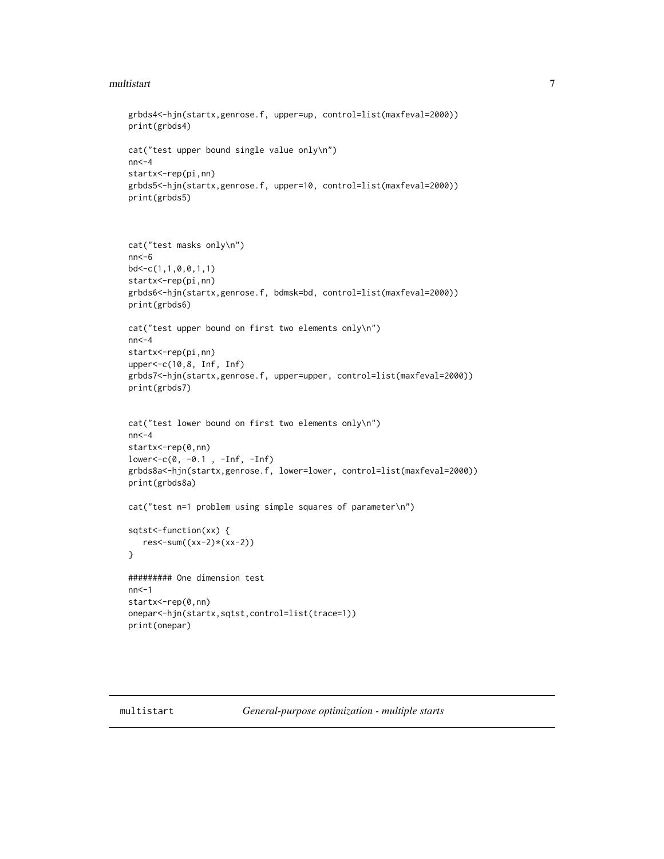#### <span id="page-6-0"></span>multistart 7

```
grbds4<-hjn(startx,genrose.f, upper=up, control=list(maxfeval=2000))
print(grbds4)
cat("test upper bound single value only\n")
nn < -4startx<-rep(pi,nn)
grbds5<-hjn(startx,genrose.f, upper=10, control=list(maxfeval=2000))
print(grbds5)
```

```
cat("test masks only\n")
nn<-6
bd < -c(1,1,0,0,1,1)startx<-rep(pi,nn)
grbds6<-hjn(startx,genrose.f, bdmsk=bd, control=list(maxfeval=2000))
print(grbds6)
cat("test upper bound on first two elements only\n")
nn < -4startx<-rep(pi,nn)
upper<-c(10,8, Inf, Inf)
grbds7<-hjn(startx,genrose.f, upper=upper, control=list(maxfeval=2000))
print(grbds7)
cat("test lower bound on first two elements only\n")
nn < -4startx<-rep(0,nn)
lower<-c(0, -0.1 , -Inf, -Inf)
grbds8a<-hjn(startx,genrose.f, lower=lower, control=list(maxfeval=2000))
print(grbds8a)
cat("test n=1 problem using simple squares of parameter\n")
sqtst<-function(xx) {
   res<-sum((xx-2)*(xx-2))
}
```

```
######### One dimension test
nn<-1
startx<-rep(0,nn)
onepar<-hjn(startx,sqtst,control=list(trace=1))
print(onepar)
```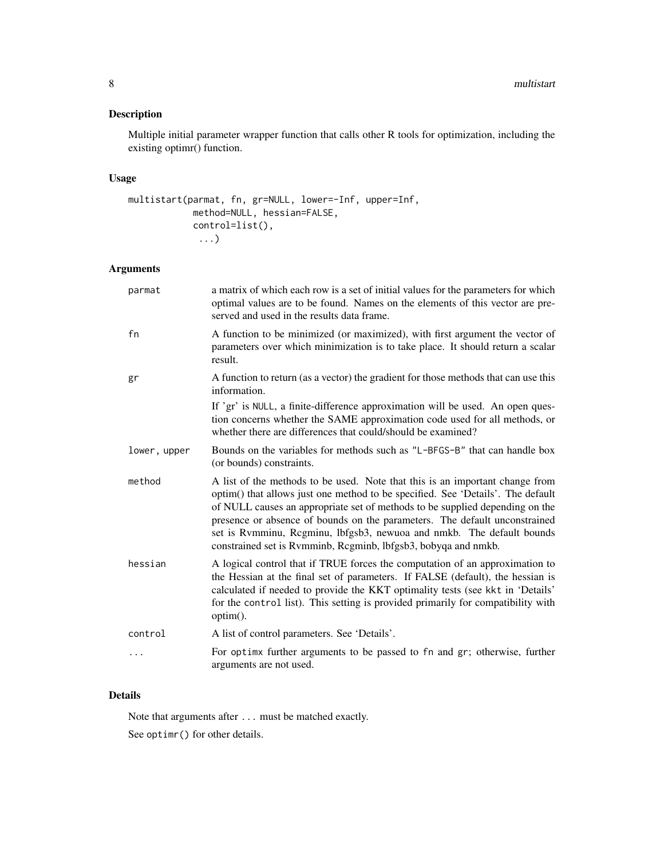# Description

Multiple initial parameter wrapper function that calls other R tools for optimization, including the existing optimr() function.

# Usage

```
multistart(parmat, fn, gr=NULL, lower=-Inf, upper=Inf,
            method=NULL, hessian=FALSE,
            control=list(),
             ...)
```
### Arguments

| a matrix of which each row is a set of initial values for the parameters for which<br>optimal values are to be found. Names on the elements of this vector are pre-<br>served and used in the results data frame.                                                                                                                                                                                                                                                        |
|--------------------------------------------------------------------------------------------------------------------------------------------------------------------------------------------------------------------------------------------------------------------------------------------------------------------------------------------------------------------------------------------------------------------------------------------------------------------------|
| A function to be minimized (or maximized), with first argument the vector of<br>parameters over which minimization is to take place. It should return a scalar<br>result.                                                                                                                                                                                                                                                                                                |
| A function to return (as a vector) the gradient for those methods that can use this<br>information.                                                                                                                                                                                                                                                                                                                                                                      |
| If 'gr' is NULL, a finite-difference approximation will be used. An open ques-<br>tion concerns whether the SAME approximation code used for all methods, or<br>whether there are differences that could/should be examined?                                                                                                                                                                                                                                             |
| Bounds on the variables for methods such as "L-BFGS-B" that can handle box<br>(or bounds) constraints.                                                                                                                                                                                                                                                                                                                                                                   |
| A list of the methods to be used. Note that this is an important change from<br>optim() that allows just one method to be specified. See 'Details'. The default<br>of NULL causes an appropriate set of methods to be supplied depending on the<br>presence or absence of bounds on the parameters. The default unconstrained<br>set is Rvmminu, Rcgminu, lbfgsb3, newuoa and nmkb. The default bounds<br>constrained set is Rvmminb, Rcgminb, lbfgsb3, bobyqa and nmkb. |
| A logical control that if TRUE forces the computation of an approximation to<br>the Hessian at the final set of parameters. If FALSE (default), the hessian is<br>calculated if needed to provide the KKT optimality tests (see kkt in 'Details'<br>for the control list). This setting is provided primarily for compatibility with<br>option().                                                                                                                        |
| A list of control parameters. See 'Details'.                                                                                                                                                                                                                                                                                                                                                                                                                             |
| For optimx further arguments to be passed to fn and gr; otherwise, further<br>arguments are not used.                                                                                                                                                                                                                                                                                                                                                                    |
|                                                                                                                                                                                                                                                                                                                                                                                                                                                                          |

# Details

Note that arguments after ... must be matched exactly.

See optimr() for other details.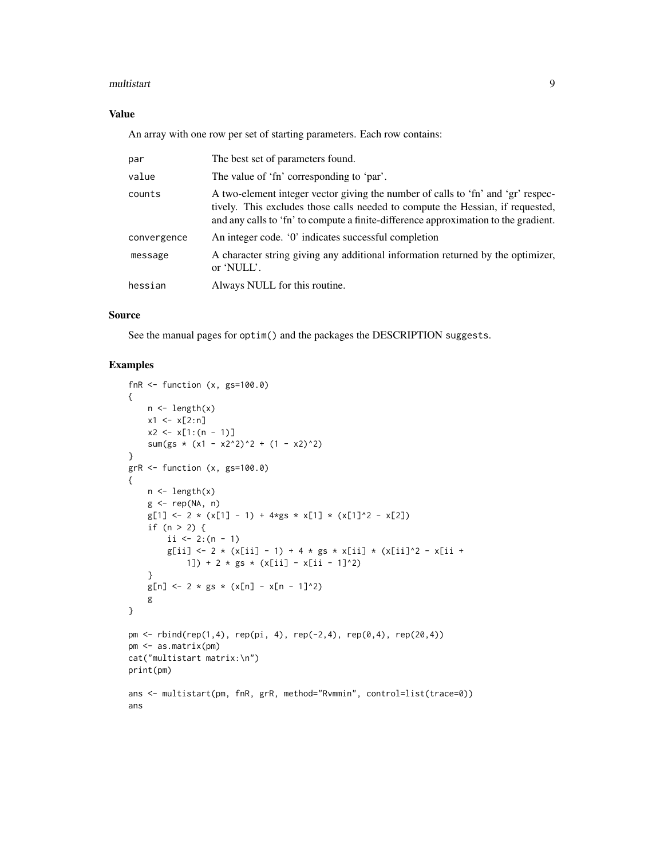#### multistart 9

# Value

An array with one row per set of starting parameters. Each row contains:

| par         | The best set of parameters found.                                                                                                                                                                                                                         |
|-------------|-----------------------------------------------------------------------------------------------------------------------------------------------------------------------------------------------------------------------------------------------------------|
| value       | The value of 'fn' corresponding to 'par'.                                                                                                                                                                                                                 |
| counts      | A two-element integer vector giving the number of calls to 'fn' and 'gr' respec-<br>tively. This excludes those calls needed to compute the Hessian, if requested,<br>and any calls to 'fn' to compute a finite-difference approximation to the gradient. |
| convergence | An integer code. '0' indicates successful completion                                                                                                                                                                                                      |
| message     | A character string giving any additional information returned by the optimizer,<br>or 'NULL'.                                                                                                                                                             |
| hessian     | Always NULL for this routine.                                                                                                                                                                                                                             |

#### Source

See the manual pages for optim() and the packages the DESCRIPTION suggests.

```
fnR \le function (x, gs=100.0){
    n \leftarrow length(x)x1 \leftarrow x[2:n]x2 \leq x[1:(n-1)]sum(gs \star (x1 - x2^2)^2 + (1 - x2)^2)
}
grR < - function (x, gs=100.0){
    n \leftarrow length(x)g \leftarrow rep(NA, n)g[1] \leftarrow 2 \times (x[1] - 1) + 4 \times g s \times x[1] \times (x[1]^2 - x[2])if (n > 2) {
        ii <- 2:(n - 1)g[ii] <- 2 * (x[ii] - 1) + 4 * gs * x[ii] * (x[ii]^2 - x[ii +
            1]) + 2 * gs * (x[ii] - x[ii - 1]^2)
    }
    g[n] <- 2 * gs * (x[n] - x[n - 1]^2)
    g
}
pm < - rbind(rep(1,4), rep(pi, 4), rep(-2,4), rep(0,4), rep(20,4))
pm <- as.matrix(pm)
cat("multistart matrix:\n")
print(pm)
ans <- multistart(pm, fnR, grR, method="Rvmmin", control=list(trace=0))
ans
```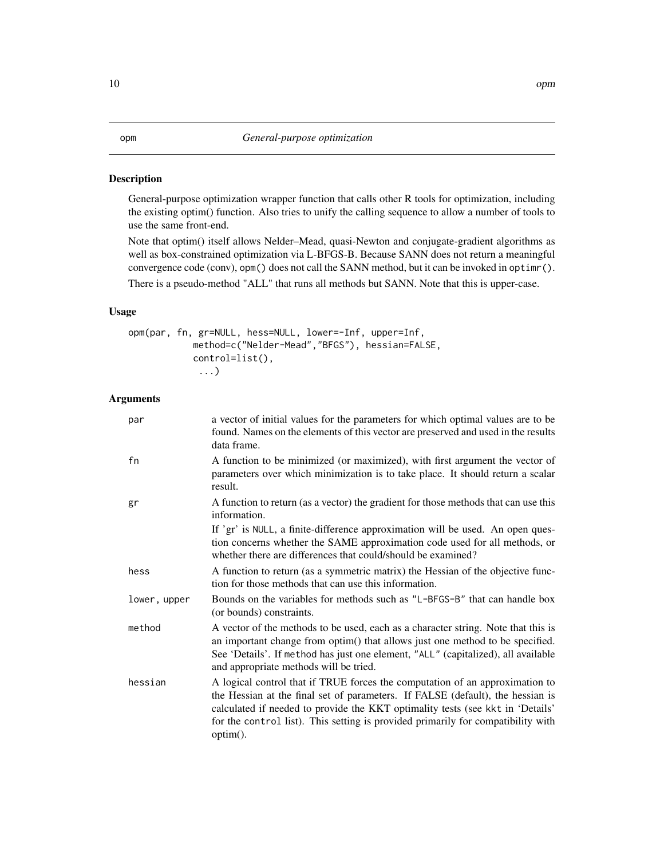#### <span id="page-9-0"></span>Description

General-purpose optimization wrapper function that calls other R tools for optimization, including the existing optim() function. Also tries to unify the calling sequence to allow a number of tools to use the same front-end.

Note that optim() itself allows Nelder–Mead, quasi-Newton and conjugate-gradient algorithms as well as box-constrained optimization via L-BFGS-B. Because SANN does not return a meaningful convergence code (conv), opm() does not call the SANN method, but it can be invoked in optimr().

There is a pseudo-method "ALL" that runs all methods but SANN. Note that this is upper-case.

#### Usage

```
opm(par, fn, gr=NULL, hess=NULL, lower=-Inf, upper=Inf,
            method=c("Nelder-Mead","BFGS"), hessian=FALSE,
            control=list(),
             ...)
```
### Arguments

| par          | a vector of initial values for the parameters for which optimal values are to be<br>found. Names on the elements of this vector are preserved and used in the results<br>data frame.                                                                                                                                                                 |
|--------------|------------------------------------------------------------------------------------------------------------------------------------------------------------------------------------------------------------------------------------------------------------------------------------------------------------------------------------------------------|
| fn           | A function to be minimized (or maximized), with first argument the vector of<br>parameters over which minimization is to take place. It should return a scalar<br>result.                                                                                                                                                                            |
| gr           | A function to return (as a vector) the gradient for those methods that can use this<br>information.                                                                                                                                                                                                                                                  |
|              | If 'gr' is NULL, a finite-difference approximation will be used. An open ques-<br>tion concerns whether the SAME approximation code used for all methods, or<br>whether there are differences that could/should be examined?                                                                                                                         |
| hess         | A function to return (as a symmetric matrix) the Hessian of the objective func-<br>tion for those methods that can use this information.                                                                                                                                                                                                             |
| lower, upper | Bounds on the variables for methods such as "L-BFGS-B" that can handle box<br>(or bounds) constraints.                                                                                                                                                                                                                                               |
| method       | A vector of the methods to be used, each as a character string. Note that this is<br>an important change from optim() that allows just one method to be specified.<br>See 'Details'. If method has just one element, "ALL" (capitalized), all available<br>and appropriate methods will be tried.                                                    |
| hessian      | A logical control that if TRUE forces the computation of an approximation to<br>the Hessian at the final set of parameters. If FALSE (default), the hessian is<br>calculated if needed to provide the KKT optimality tests (see kkt in 'Details'<br>for the control list). This setting is provided primarily for compatibility with<br>$option()$ . |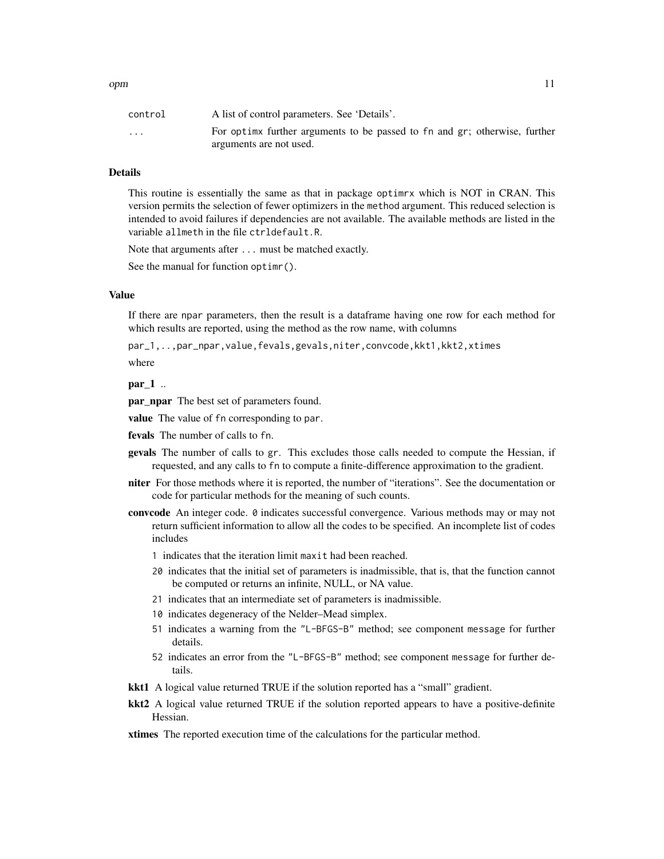| control                 | A list of control parameters. See 'Details'.                               |
|-------------------------|----------------------------------------------------------------------------|
| $\cdot$ $\cdot$ $\cdot$ | For optimx further arguments to be passed to fn and gr; otherwise, further |
|                         | arguments are not used.                                                    |

#### Details

This routine is essentially the same as that in package optimrx which is NOT in CRAN. This version permits the selection of fewer optimizers in the method argument. This reduced selection is intended to avoid failures if dependencies are not available. The available methods are listed in the variable allmeth in the file ctrldefault.R.

Note that arguments after ... must be matched exactly.

See the manual for function optimr().

#### Value

If there are npar parameters, then the result is a dataframe having one row for each method for which results are reported, using the method as the row name, with columns

par\_1,..,par\_npar,value,fevals,gevals,niter,convcode,kkt1,kkt2,xtimes

where

#### par\_1 ..

par\_npar The best set of parameters found.

value The value of fn corresponding to par.

fevals The number of calls to fn.

- gevals The number of calls to gr. This excludes those calls needed to compute the Hessian, if requested, and any calls to fn to compute a finite-difference approximation to the gradient.
- niter For those methods where it is reported, the number of "iterations". See the documentation or code for particular methods for the meaning of such counts.
- convcode An integer code. 0 indicates successful convergence. Various methods may or may not return sufficient information to allow all the codes to be specified. An incomplete list of codes includes
	- 1 indicates that the iteration limit maxit had been reached.
	- 20 indicates that the initial set of parameters is inadmissible, that is, that the function cannot be computed or returns an infinite, NULL, or NA value.
	- 21 indicates that an intermediate set of parameters is inadmissible.
	- 10 indicates degeneracy of the Nelder–Mead simplex.
	- 51 indicates a warning from the "L-BFGS-B" method; see component message for further details.
	- 52 indicates an error from the "L-BFGS-B" method; see component message for further details.
- kkt1 A logical value returned TRUE if the solution reported has a "small" gradient.
- kkt2 A logical value returned TRUE if the solution reported appears to have a positive-definite Hessian.
- xtimes The reported execution time of the calculations for the particular method.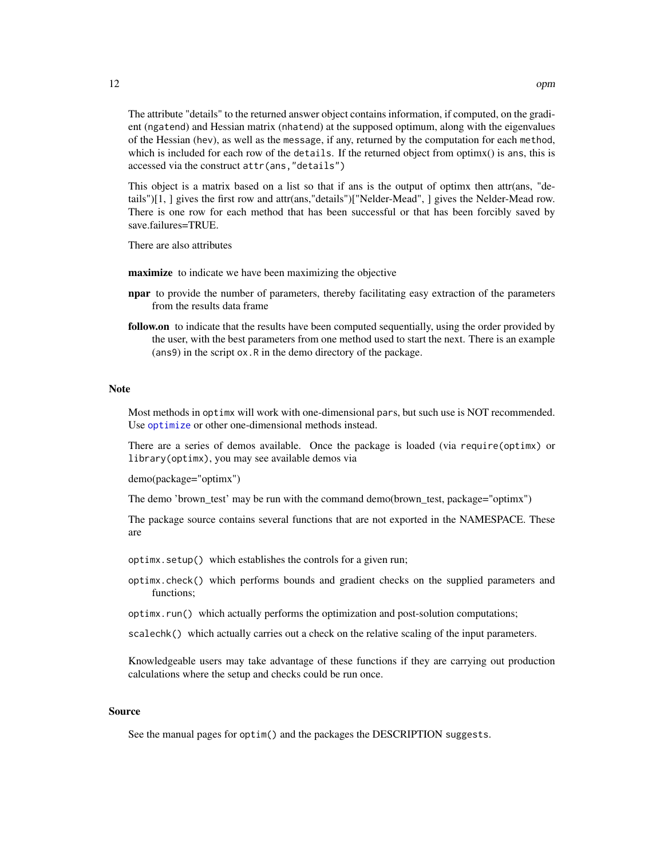<span id="page-11-0"></span>The attribute "details" to the returned answer object contains information, if computed, on the gradient (ngatend) and Hessian matrix (nhatend) at the supposed optimum, along with the eigenvalues of the Hessian (hev), as well as the message, if any, returned by the computation for each method, which is included for each row of the details. If the returned object from optimx() is ans, this is accessed via the construct attr(ans,"details")

This object is a matrix based on a list so that if ans is the output of optimx then attr(ans, "details")[1, ] gives the first row and attr(ans,"details")["Nelder-Mead", ] gives the Nelder-Mead row. There is one row for each method that has been successful or that has been forcibly saved by save.failures=TRUE.

There are also attributes

maximize to indicate we have been maximizing the objective

- **npar** to provide the number of parameters, thereby facilitating easy extraction of the parameters from the results data frame
- follow.on to indicate that the results have been computed sequentially, using the order provided by the user, with the best parameters from one method used to start the next. There is an example (ans9) in the script ox.R in the demo directory of the package.

#### Note

Most methods in optimx will work with one-dimensional pars, but such use is NOT recommended. Use [optimize](#page-0-0) or other one-dimensional methods instead.

There are a series of demos available. Once the package is loaded (via require(optimx) or library(optimx), you may see available demos via

demo(package="optimx")

The demo 'brown\_test' may be run with the command demo(brown\_test, package="optimx")

The package source contains several functions that are not exported in the NAMESPACE. These are

optimx.setup() which establishes the controls for a given run;

- optimx.check() which performs bounds and gradient checks on the supplied parameters and functions;
- optimx.run() which actually performs the optimization and post-solution computations;

scalechk() which actually carries out a check on the relative scaling of the input parameters.

Knowledgeable users may take advantage of these functions if they are carrying out production calculations where the setup and checks could be run once.

#### Source

See the manual pages for optim() and the packages the DESCRIPTION suggests.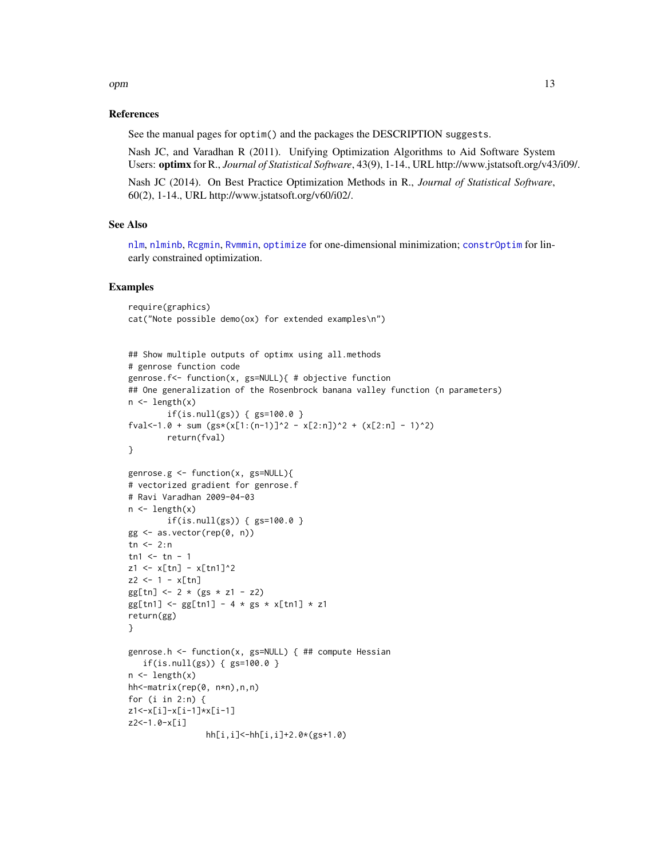## <span id="page-12-0"></span>opm and the contract of the contract of the contract of the contract of the contract of the contract of the contract of the contract of the contract of the contract of the contract of the contract of the contract of the co

#### References

See the manual pages for optim() and the packages the DESCRIPTION suggests.

Nash JC, and Varadhan R (2011). Unifying Optimization Algorithms to Aid Software System Users: optimx for R., *Journal of Statistical Software*, 43(9), 1-14., URL http://www.jstatsoft.org/v43/i09/.

Nash JC (2014). On Best Practice Optimization Methods in R., *Journal of Statistical Software*, 60(2), 1-14., URL http://www.jstatsoft.org/v60/i02/.

#### See Also

[nlm](#page-0-0), [nlminb](#page-0-0), [Rcgmin](#page-0-0), [Rvmmin](#page-0-0), [optimize](#page-0-0) for one-dimensional minimization; [constrOptim](#page-0-0) for linearly constrained optimization.

```
require(graphics)
cat("Note possible demo(ox) for extended examples\n")
```

```
## Show multiple outputs of optimx using all.methods
# genrose function code
genrose.f<- function(x, gs=NULL){ # objective function
## One generalization of the Rosenbrock banana valley function (n parameters)
n \leftarrow length(x)if(is.null(gs)) { gs=100.0 }
fval <-1.0 + sum (gs*(x[1:(n-1)]^2 - x[2:n])^2 + (x[2:n] - 1)^2)return(fval)
}
genrose.g <- function(x, gs=NULL){
# vectorized gradient for genrose.f
# Ravi Varadhan 2009-04-03
n \leftarrow length(x)if(is.null(gs)) { { gs=100.0 } }gg \leq -as.vector(rep(\theta, n))tn < -2:ntn1 < -tn - 1z1 \le x[tn] - x[tn1]^2z^{2} <- 1 - x[tn]gg[tn] < -2 * (gs * z1 - z2)gg[tn1] <- gg[tn1] - 4 * gs * x[tn1] * z1
return(gg)
}
genrose.h <- function(x, gs=NULL) { ## compute Hessian
   if(is.null(gs)) { { gs=100.0 } }n \leftarrow length(x)hh<-matrix(rep(0, n*n),n,n)
for (i in 2:n) {
z1<-x[i]-x[i-1]*x[i-1]
z2<-1.0-x[i]
                hh[i,i]<-hh[i,i]+2.0*(gs+1.0)
```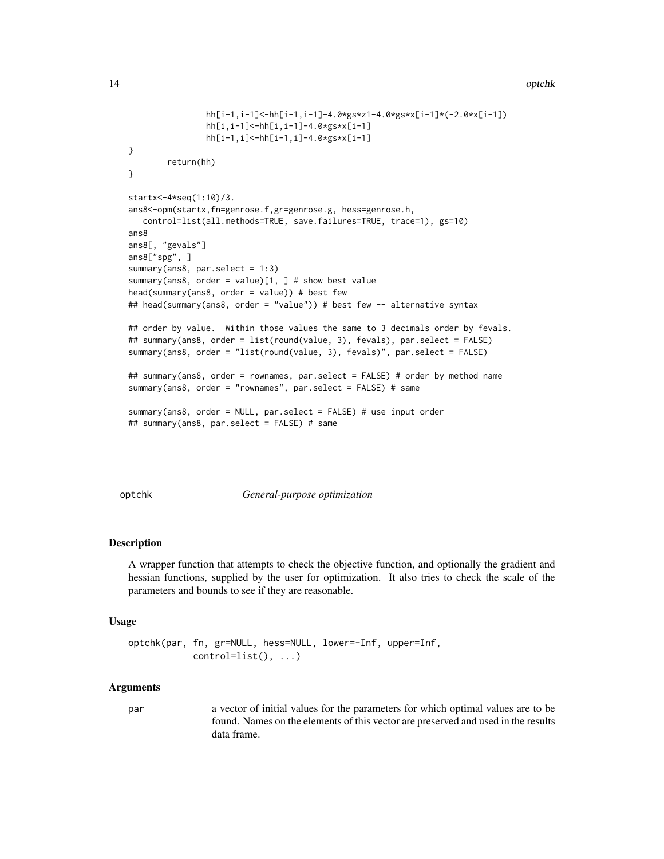```
hh[i-1,i-1]<-hh[i-1,i-1]-4.0*gs*z1-4.0*gs*x[i-1]*(-2.0*x[i-1])
                hh[i,i-1]<-hh[i,i-1]-4.0*gs*x[i-1]
                hh[i-1,i]<-hh[i-1,i]-4.0*gs*x[i-1]
}
       return(hh)
}
startx<-4*seq(1:10)/3.
ans8<-opm(startx,fn=genrose.f,gr=genrose.g, hess=genrose.h,
   control=list(all.methods=TRUE, save.failures=TRUE, trace=1), gs=10)
ans8
ans8[, "gevals"]
ans8["spg", ]
summary(ans8, par.select = 1:3)
summary(ans8, order = value)[1, ] # show best value
head(summary(ans8, order = value)) # best few
## head(summary(ans8, order = "value")) # best few -- alternative syntax
## order by value. Within those values the same to 3 decimals order by fevals.
## summary(ans8, order = list(round(value, 3), fevals), par.select = FALSE)
summary(ans8, order = "list(round(value, 3), fevals)", par.select = FALSE)
## summary(ans8, order = rownames, par.select = FALSE) # order by method name
summary(ans8, order = "rownames", par.select = FALSE) # same
summary(ans8, order = NULL, par.select = FALSE) # use input order
## summary(ans8, par.select = FALSE) # same
```
optchk *General-purpose optimization*

#### Description

A wrapper function that attempts to check the objective function, and optionally the gradient and hessian functions, supplied by the user for optimization. It also tries to check the scale of the parameters and bounds to see if they are reasonable.

#### Usage

```
optchk(par, fn, gr=NULL, hess=NULL, lower=-Inf, upper=Inf,
            control=list(), ...)
```
#### Arguments

par a vector of initial values for the parameters for which optimal values are to be found. Names on the elements of this vector are preserved and used in the results data frame.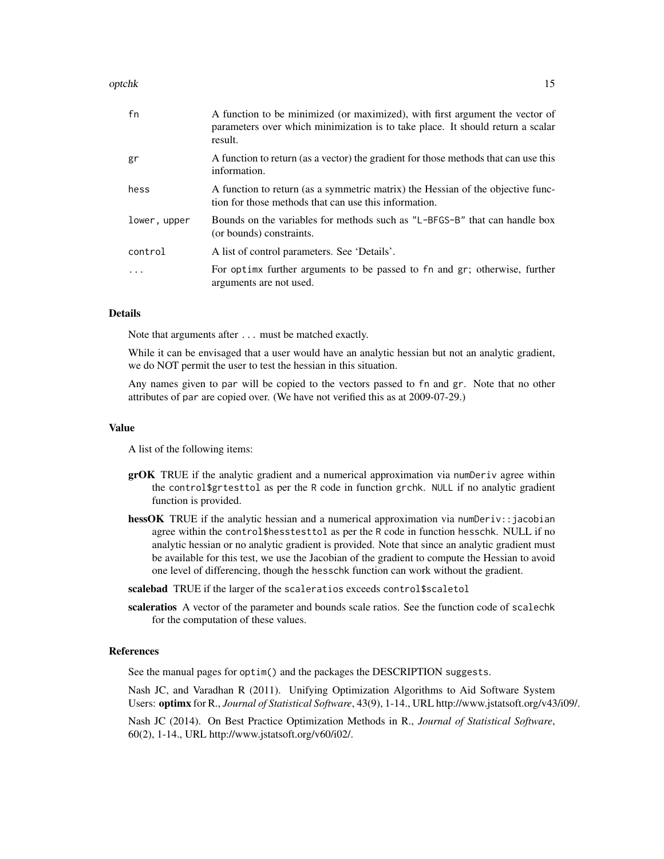#### optchk to the contract of the contract of the contract of the contract of the contract of the contract of the contract of the contract of the contract of the contract of the contract of the contract of the contract of the

| fn           | A function to be minimized (or maximized), with first argument the vector of<br>parameters over which minimization is to take place. It should return a scalar<br>result. |
|--------------|---------------------------------------------------------------------------------------------------------------------------------------------------------------------------|
| gr           | A function to return (as a vector) the gradient for those methods that can use this<br>information.                                                                       |
| hess         | A function to return (as a symmetric matrix) the Hessian of the objective func-<br>tion for those methods that can use this information.                                  |
| lower, upper | Bounds on the variables for methods such as "L-BFGS-B" that can handle box<br>(or bounds) constraints.                                                                    |
| control      | A list of control parameters. See 'Details'.                                                                                                                              |
| .            | For optimx further arguments to be passed to fn and gr; otherwise, further<br>arguments are not used.                                                                     |

#### Details

Note that arguments after ... must be matched exactly.

While it can be envisaged that a user would have an analytic hessian but not an analytic gradient, we do NOT permit the user to test the hessian in this situation.

Any names given to par will be copied to the vectors passed to fn and gr. Note that no other attributes of par are copied over. (We have not verified this as at 2009-07-29.)

#### Value

A list of the following items:

- grOK TRUE if the analytic gradient and a numerical approximation via numDeriv agree within the control\$grtesttol as per the R code in function grchk. NULL if no analytic gradient function is provided.
- hessOK TRUE if the analytic hessian and a numerical approximation via numDeriv::jacobian agree within the control\$hesstesttol as per the R code in function hesschk. NULL if no analytic hessian or no analytic gradient is provided. Note that since an analytic gradient must be available for this test, we use the Jacobian of the gradient to compute the Hessian to avoid one level of differencing, though the hesschk function can work without the gradient.
- scalebad TRUE if the larger of the scaleratios exceeds control\$scaletol
- scaleratios A vector of the parameter and bounds scale ratios. See the function code of scalechk for the computation of these values.

### References

See the manual pages for optim() and the packages the DESCRIPTION suggests.

Nash JC, and Varadhan R (2011). Unifying Optimization Algorithms to Aid Software System Users: optimx for R., *Journal of Statistical Software*, 43(9), 1-14., URL http://www.jstatsoft.org/v43/i09/.

Nash JC (2014). On Best Practice Optimization Methods in R., *Journal of Statistical Software*, 60(2), 1-14., URL http://www.jstatsoft.org/v60/i02/.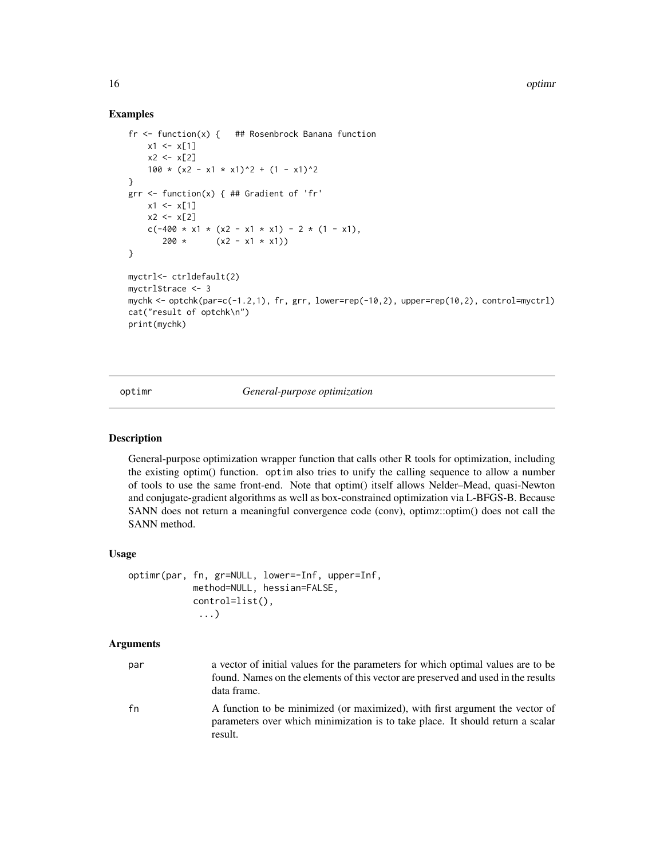#### Examples

```
fr <- function(x) { ## Rosenbrock Banana function
   x1 \le x[1]x2 < - x 2100 \times (x2 - x1 \times x1)^2 + (1 - x1)^2}
grr <- function(x) { ## Gradient of 'fr'
    x1 \leq x[1]x2 < - x[2]c(-400 \times x1 \times (x2 - x1 \times x1) - 2 \times (1 - x1),200 * (x2 - x1 * x1))}
myctrl<- ctrldefault(2)
myctrl$trace <- 3
mychk <- optchk(par=c(-1.2,1), fr, grr, lower=rep(-10,2), upper=rep(10,2), control=myctrl)
cat("result of optchk\n")
print(mychk)
```
optimr *General-purpose optimization*

#### Description

General-purpose optimization wrapper function that calls other R tools for optimization, including the existing optim() function. optim also tries to unify the calling sequence to allow a number of tools to use the same front-end. Note that optim() itself allows Nelder–Mead, quasi-Newton and conjugate-gradient algorithms as well as box-constrained optimization via L-BFGS-B. Because SANN does not return a meaningful convergence code (conv), optimz::optim() does not call the SANN method.

### Usage

```
optimr(par, fn, gr=NULL, lower=-Inf, upper=Inf,
            method=NULL, hessian=FALSE,
            control=list(),
             ...)
```
result.

#### Arguments

| par | a vector of initial values for the parameters for which optimal values are to be<br>found. Names on the elements of this vector are preserved and used in the results |
|-----|-----------------------------------------------------------------------------------------------------------------------------------------------------------------------|
|     | data frame.                                                                                                                                                           |
| fn  | A function to be minimized (or maximized), with first argument the vector of                                                                                          |
|     | parameters over which minimization is to take place. It should return a scalar                                                                                        |

<span id="page-15-0"></span>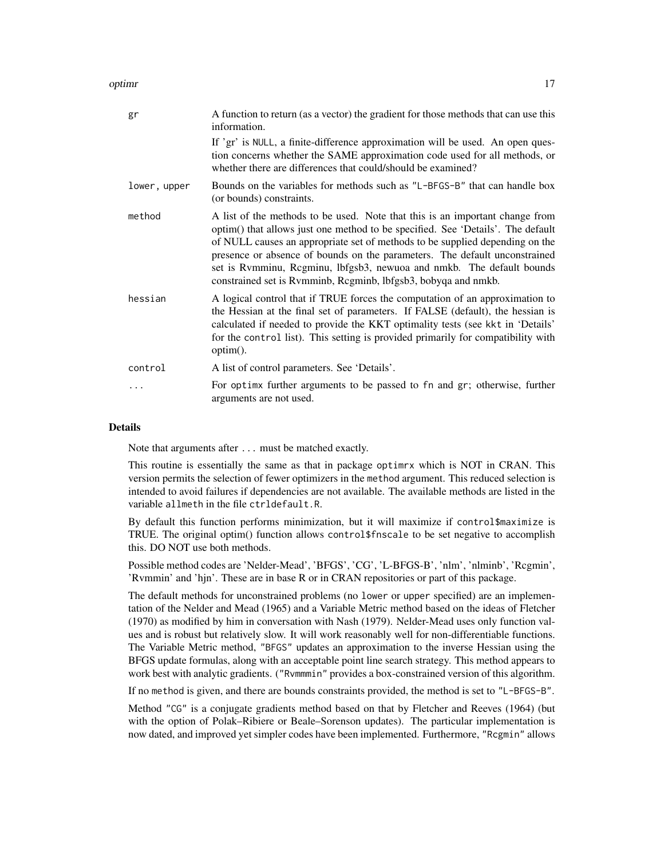optimr the contract of the contract of the contract of the contract of the contract of the contract of the contract of the contract of the contract of the contract of the contract of the contract of the contract of the con

| gr           | A function to return (as a vector) the gradient for those methods that can use this<br>information.                                                                                                                                                                                                                                                                                                                                                                      |
|--------------|--------------------------------------------------------------------------------------------------------------------------------------------------------------------------------------------------------------------------------------------------------------------------------------------------------------------------------------------------------------------------------------------------------------------------------------------------------------------------|
|              | If 'gr' is NULL, a finite-difference approximation will be used. An open ques-<br>tion concerns whether the SAME approximation code used for all methods, or<br>whether there are differences that could/should be examined?                                                                                                                                                                                                                                             |
| lower, upper | Bounds on the variables for methods such as "L-BFGS-B" that can handle box<br>(or bounds) constraints.                                                                                                                                                                                                                                                                                                                                                                   |
| method       | A list of the methods to be used. Note that this is an important change from<br>optim() that allows just one method to be specified. See 'Details'. The default<br>of NULL causes an appropriate set of methods to be supplied depending on the<br>presence or absence of bounds on the parameters. The default unconstrained<br>set is Rvmminu, Rcgminu, lbfgsb3, newuoa and nmkb. The default bounds<br>constrained set is Rymminb, Regminb, lbfgsb3, bobyqa and nmkb. |
| hessian      | A logical control that if TRUE forces the computation of an approximation to<br>the Hessian at the final set of parameters. If FALSE (default), the hessian is<br>calculated if needed to provide the KKT optimality tests (see kkt in 'Details'<br>for the control list). This setting is provided primarily for compatibility with<br>option().                                                                                                                        |
| control      | A list of control parameters. See 'Details'.                                                                                                                                                                                                                                                                                                                                                                                                                             |
|              | For optimes further arguments to be passed to fn and gr; otherwise, further<br>arguments are not used.                                                                                                                                                                                                                                                                                                                                                                   |

#### Details

Note that arguments after ... must be matched exactly.

This routine is essentially the same as that in package optimrx which is NOT in CRAN. This version permits the selection of fewer optimizers in the method argument. This reduced selection is intended to avoid failures if dependencies are not available. The available methods are listed in the variable allmeth in the file ctrldefault.R.

By default this function performs minimization, but it will maximize if control\$maximize is TRUE. The original optim() function allows control\$fnscale to be set negative to accomplish this. DO NOT use both methods.

Possible method codes are 'Nelder-Mead', 'BFGS', 'CG', 'L-BFGS-B', 'nlm', 'nlminb', 'Rcgmin', 'Rvmmin' and 'hjn'. These are in base R or in CRAN repositories or part of this package.

The default methods for unconstrained problems (no lower or upper specified) are an implementation of the Nelder and Mead (1965) and a Variable Metric method based on the ideas of Fletcher (1970) as modified by him in conversation with Nash (1979). Nelder-Mead uses only function values and is robust but relatively slow. It will work reasonably well for non-differentiable functions. The Variable Metric method, "BFGS" updates an approximation to the inverse Hessian using the BFGS update formulas, along with an acceptable point line search strategy. This method appears to work best with analytic gradients. ("Rvmmmin" provides a box-constrained version of this algorithm.

If no method is given, and there are bounds constraints provided, the method is set to "L-BFGS-B".

Method "CG" is a conjugate gradients method based on that by Fletcher and Reeves (1964) (but with the option of Polak–Ribiere or Beale–Sorenson updates). The particular implementation is now dated, and improved yet simpler codes have been implemented. Furthermore, "Rcgmin" allows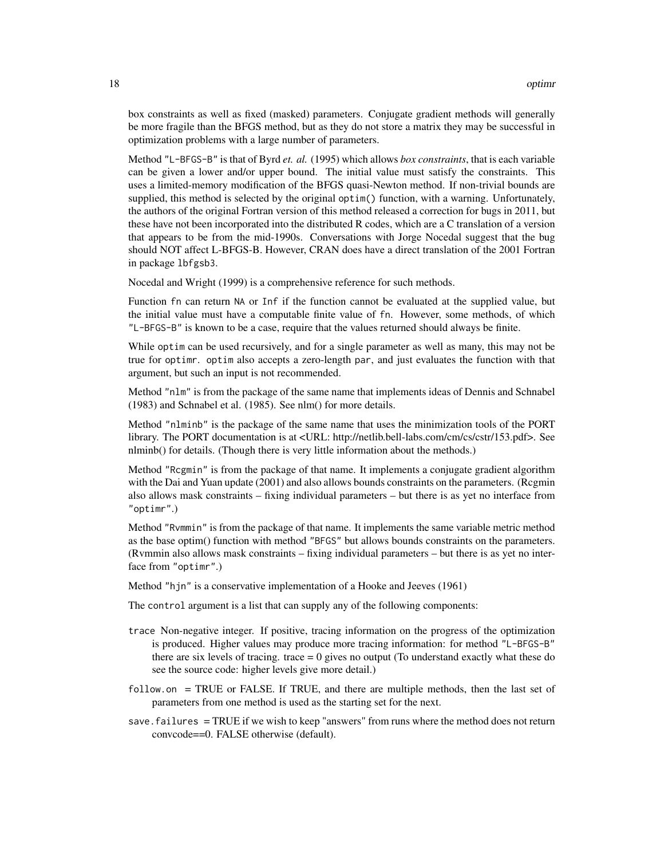box constraints as well as fixed (masked) parameters. Conjugate gradient methods will generally be more fragile than the BFGS method, but as they do not store a matrix they may be successful in optimization problems with a large number of parameters.

Method "L-BFGS-B" is that of Byrd *et. al.* (1995) which allows *box constraints*, that is each variable can be given a lower and/or upper bound. The initial value must satisfy the constraints. This uses a limited-memory modification of the BFGS quasi-Newton method. If non-trivial bounds are supplied, this method is selected by the original optim() function, with a warning. Unfortunately, the authors of the original Fortran version of this method released a correction for bugs in 2011, but these have not been incorporated into the distributed R codes, which are a C translation of a version that appears to be from the mid-1990s. Conversations with Jorge Nocedal suggest that the bug should NOT affect L-BFGS-B. However, CRAN does have a direct translation of the 2001 Fortran in package lbfgsb3.

Nocedal and Wright (1999) is a comprehensive reference for such methods.

Function fn can return NA or Inf if the function cannot be evaluated at the supplied value, but the initial value must have a computable finite value of fn. However, some methods, of which "L-BFGS-B" is known to be a case, require that the values returned should always be finite.

While optim can be used recursively, and for a single parameter as well as many, this may not be true for optimr. optim also accepts a zero-length par, and just evaluates the function with that argument, but such an input is not recommended.

Method "nlm" is from the package of the same name that implements ideas of Dennis and Schnabel (1983) and Schnabel et al. (1985). See nlm() for more details.

Method "nlminb" is the package of the same name that uses the minimization tools of the PORT library. The PORT documentation is at <URL: http://netlib.bell-labs.com/cm/cs/cstr/153.pdf>. See nlminb() for details. (Though there is very little information about the methods.)

Method "Rcgmin" is from the package of that name. It implements a conjugate gradient algorithm with the Dai and Yuan update (2001) and also allows bounds constraints on the parameters. (Regmin also allows mask constraints – fixing individual parameters – but there is as yet no interface from "optimr".)

Method "Rvmmin" is from the package of that name. It implements the same variable metric method as the base optim() function with method "BFGS" but allows bounds constraints on the parameters. (Rvmmin also allows mask constraints – fixing individual parameters – but there is as yet no interface from "optimr".)

Method "hjn" is a conservative implementation of a Hooke and Jeeves (1961)

The control argument is a list that can supply any of the following components:

- trace Non-negative integer. If positive, tracing information on the progress of the optimization is produced. Higher values may produce more tracing information: for method "L-BFGS-B" there are six levels of tracing. trace  $= 0$  gives no output (To understand exactly what these do see the source code: higher levels give more detail.)
- follow.on = TRUE or FALSE. If TRUE, and there are multiple methods, then the last set of parameters from one method is used as the starting set for the next.
- save.failures = TRUE if we wish to keep "answers" from runs where the method does not return convcode==0. FALSE otherwise (default).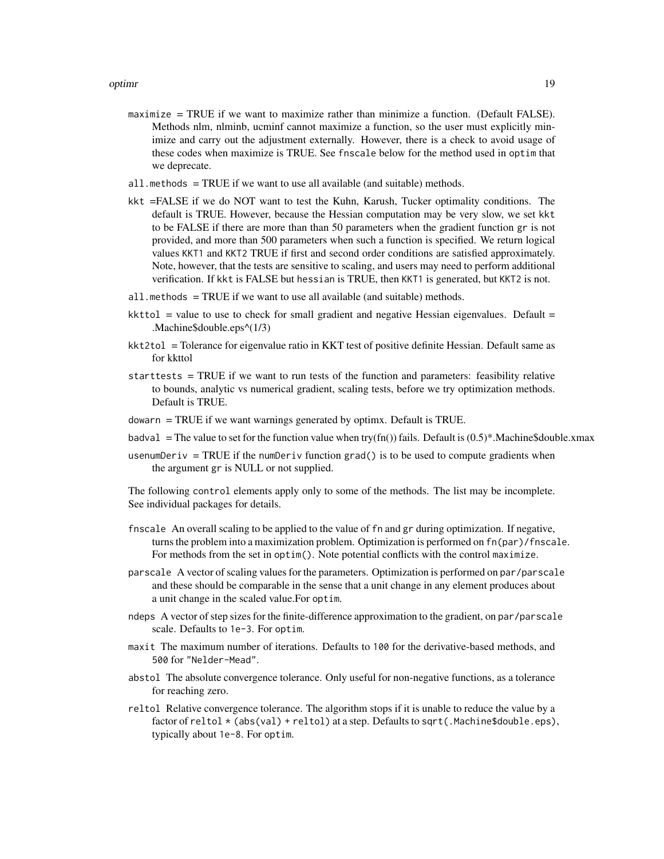- maximize = TRUE if we want to maximize rather than minimize a function. (Default FALSE). Methods nlm, nlminb, ucminf cannot maximize a function, so the user must explicitly minimize and carry out the adjustment externally. However, there is a check to avoid usage of these codes when maximize is TRUE. See fnscale below for the method used in optim that we deprecate.
- $all.$  methods = TRUE if we want to use all available (and suitable) methods.
- kkt =FALSE if we do NOT want to test the Kuhn, Karush, Tucker optimality conditions. The default is TRUE. However, because the Hessian computation may be very slow, we set kkt to be FALSE if there are more than than 50 parameters when the gradient function gr is not provided, and more than 500 parameters when such a function is specified. We return logical values KKT1 and KKT2 TRUE if first and second order conditions are satisfied approximately. Note, however, that the tests are sensitive to scaling, and users may need to perform additional verification. If kkt is FALSE but hessian is TRUE, then KKT1 is generated, but KKT2 is not.
- all.methods  $=$  TRUE if we want to use all available (and suitable) methods.
- $kkttol$  = value to use to check for small gradient and negative Hessian eigenvalues. Default = .Machine\$double.eps^(1/3)
- kkt2tol = Tolerance for eigenvalue ratio in KKT test of positive definite Hessian. Default same as for kkttol
- starttests = TRUE if we want to run tests of the function and parameters: feasibility relative to bounds, analytic vs numerical gradient, scaling tests, before we try optimization methods. Default is TRUE.
- $down = TRUE$  if we want warnings generated by optimx. Default is TRUE.
- badval = The value to set for the function value when try(fn()) fails. Default is  $(0.5)^*$ .Machine\$double.xmax
- usenumDeriv = TRUE if the numDeriv function grad() is to be used to compute gradients when the argument gr is NULL or not supplied.

The following control elements apply only to some of the methods. The list may be incomplete. See individual packages for details.

- fnscale An overall scaling to be applied to the value of fn and gr during optimization. If negative, turns the problem into a maximization problem. Optimization is performed on fn(par)/fnscale. For methods from the set in optim(). Note potential conflicts with the control maximize.
- parscale A vector of scaling values for the parameters. Optimization is performed on par/parscale and these should be comparable in the sense that a unit change in any element produces about a unit change in the scaled value.For optim.
- ndeps A vector of step sizes for the finite-difference approximation to the gradient, on par/parscale scale. Defaults to 1e-3. For optim.
- maxit The maximum number of iterations. Defaults to 100 for the derivative-based methods, and 500 for "Nelder-Mead".
- abstol The absolute convergence tolerance. Only useful for non-negative functions, as a tolerance for reaching zero.
- reltol Relative convergence tolerance. The algorithm stops if it is unable to reduce the value by a factor of reltol  $\star$  (abs(val) + reltol) at a step. Defaults to sqrt(.Machine\$double.eps), typically about 1e-8. For optim.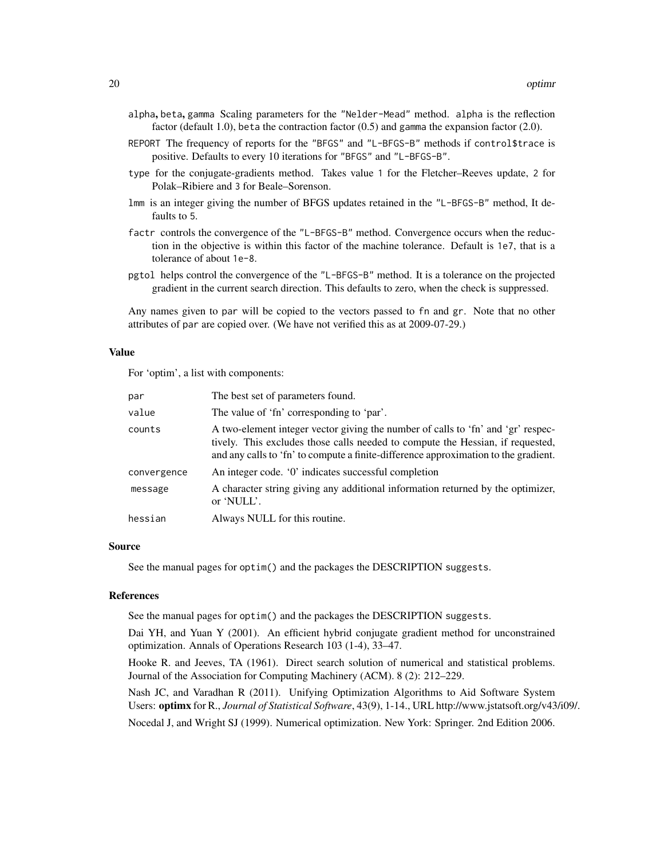- alpha, beta, gamma Scaling parameters for the "Nelder-Mead" method. alpha is the reflection factor (default 1.0), beta the contraction factor  $(0.5)$  and gamma the expansion factor  $(2.0)$ .
- REPORT The frequency of reports for the "BFGS" and "L-BFGS-B" methods if control\$trace is positive. Defaults to every 10 iterations for "BFGS" and "L-BFGS-B".
- type for the conjugate-gradients method. Takes value 1 for the Fletcher–Reeves update, 2 for Polak–Ribiere and 3 for Beale–Sorenson.
- lmm is an integer giving the number of BFGS updates retained in the "L-BFGS-B" method, It defaults to 5.
- factr controls the convergence of the "L-BFGS-B" method. Convergence occurs when the reduction in the objective is within this factor of the machine tolerance. Default is 1e7, that is a tolerance of about 1e-8.
- pgtol helps control the convergence of the "L-BFGS-B" method. It is a tolerance on the projected gradient in the current search direction. This defaults to zero, when the check is suppressed.

Any names given to par will be copied to the vectors passed to fn and gr. Note that no other attributes of par are copied over. (We have not verified this as at 2009-07-29.)

#### Value

For 'optim', a list with components:

| par         | The best set of parameters found.                                                                                                                                                                                                                         |
|-------------|-----------------------------------------------------------------------------------------------------------------------------------------------------------------------------------------------------------------------------------------------------------|
| value       | The value of 'fn' corresponding to 'par'.                                                                                                                                                                                                                 |
| counts      | A two-element integer vector giving the number of calls to 'fn' and 'gr' respec-<br>tively. This excludes those calls needed to compute the Hessian, if requested,<br>and any calls to 'fn' to compute a finite-difference approximation to the gradient. |
| convergence | An integer code. '0' indicates successful completion                                                                                                                                                                                                      |
| message     | A character string giving any additional information returned by the optimizer,<br>or 'NULL'.                                                                                                                                                             |
| hessian     | Always NULL for this routine.                                                                                                                                                                                                                             |

#### Source

See the manual pages for optim() and the packages the DESCRIPTION suggests.

#### References

See the manual pages for optim() and the packages the DESCRIPTION suggests.

Dai YH, and Yuan Y (2001). An efficient hybrid conjugate gradient method for unconstrained optimization. Annals of Operations Research 103 (1-4), 33–47.

Hooke R. and Jeeves, TA (1961). Direct search solution of numerical and statistical problems. Journal of the Association for Computing Machinery (ACM). 8 (2): 212–229.

Nash JC, and Varadhan R (2011). Unifying Optimization Algorithms to Aid Software System Users: optimx for R., *Journal of Statistical Software*, 43(9), 1-14., URL http://www.jstatsoft.org/v43/i09/.

Nocedal J, and Wright SJ (1999). Numerical optimization. New York: Springer. 2nd Edition 2006.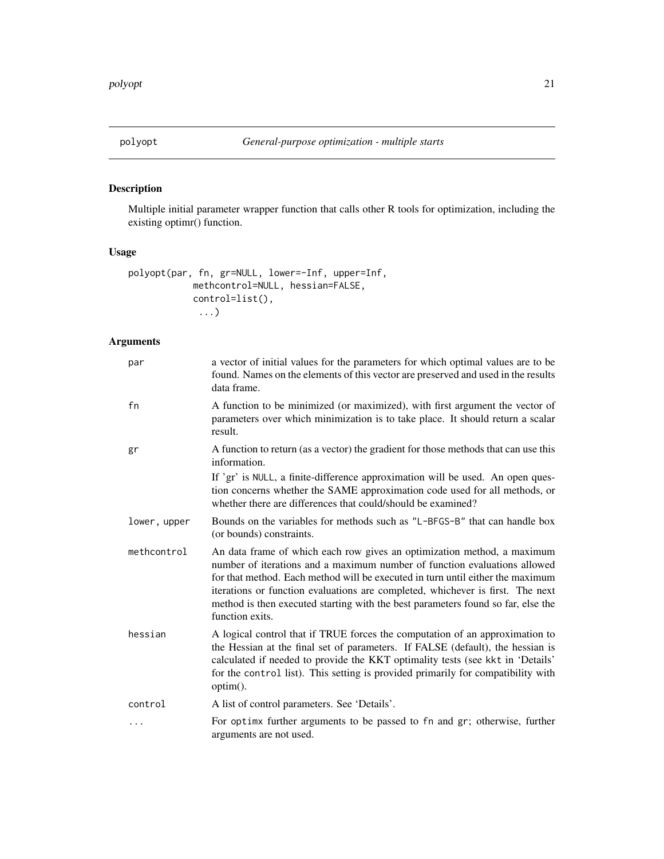# <span id="page-20-0"></span>Description

Multiple initial parameter wrapper function that calls other R tools for optimization, including the existing optimr() function.

### Usage

```
polyopt(par, fn, gr=NULL, lower=-Inf, upper=Inf,
            methcontrol=NULL, hessian=FALSE,
            control=list(),
             ...)
```
# Arguments

| par          | a vector of initial values for the parameters for which optimal values are to be<br>found. Names on the elements of this vector are preserved and used in the results<br>data frame.                                                                                                                                                                                                                                            |
|--------------|---------------------------------------------------------------------------------------------------------------------------------------------------------------------------------------------------------------------------------------------------------------------------------------------------------------------------------------------------------------------------------------------------------------------------------|
| fn           | A function to be minimized (or maximized), with first argument the vector of<br>parameters over which minimization is to take place. It should return a scalar<br>result.                                                                                                                                                                                                                                                       |
| gr           | A function to return (as a vector) the gradient for those methods that can use this<br>information.                                                                                                                                                                                                                                                                                                                             |
|              | If 'gr' is NULL, a finite-difference approximation will be used. An open ques-<br>tion concerns whether the SAME approximation code used for all methods, or<br>whether there are differences that could/should be examined?                                                                                                                                                                                                    |
| lower, upper | Bounds on the variables for methods such as "L-BFGS-B" that can handle box<br>(or bounds) constraints.                                                                                                                                                                                                                                                                                                                          |
| methcontrol  | An data frame of which each row gives an optimization method, a maximum<br>number of iterations and a maximum number of function evaluations allowed<br>for that method. Each method will be executed in turn until either the maximum<br>iterations or function evaluations are completed, whichever is first. The next<br>method is then executed starting with the best parameters found so far, else the<br>function exits. |
| hessian      | A logical control that if TRUE forces the computation of an approximation to<br>the Hessian at the final set of parameters. If FALSE (default), the hessian is<br>calculated if needed to provide the KKT optimality tests (see kkt in 'Details'<br>for the control list). This setting is provided primarily for compatibility with<br>option().                                                                               |
| control      | A list of control parameters. See 'Details'.                                                                                                                                                                                                                                                                                                                                                                                    |
| .            | For optime further arguments to be passed to fn and gr; otherwise, further<br>arguments are not used.                                                                                                                                                                                                                                                                                                                           |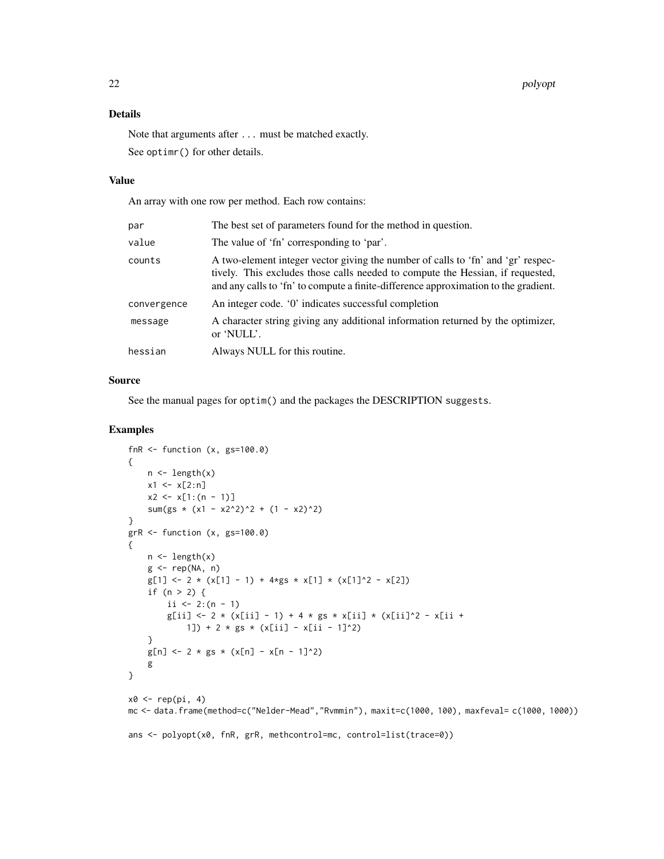#### Details

Note that arguments after ... must be matched exactly. See optimr() for other details.

#### Value

An array with one row per method. Each row contains:

| par         | The best set of parameters found for the method in question.                                                                                                                                                                                              |
|-------------|-----------------------------------------------------------------------------------------------------------------------------------------------------------------------------------------------------------------------------------------------------------|
| value       | The value of 'fn' corresponding to 'par'.                                                                                                                                                                                                                 |
| counts      | A two-element integer vector giving the number of calls to 'fn' and 'gr' respec-<br>tively. This excludes those calls needed to compute the Hessian, if requested,<br>and any calls to 'fn' to compute a finite-difference approximation to the gradient. |
| convergence | An integer code. '0' indicates successful completion                                                                                                                                                                                                      |
| message     | A character string giving any additional information returned by the optimizer,<br>or 'NULL'.                                                                                                                                                             |
| hessian     | Always NULL for this routine.                                                                                                                                                                                                                             |

#### Source

See the manual pages for optim() and the packages the DESCRIPTION suggests.

```
fnR \le- function (x, gs=100.0){
    n <- length(x)
   x1 \le x[2:n]x2 \le x[1:(n - 1)]sum(gs *(x1 - x2^2)^2 + (1 - x2)^2)}
grR < - function (x, gs=100.0){
    n \leftarrow length(x)g \leftarrow rep(NA, n)g[1] \leftarrow 2 \times (x[1] - 1) + 4*g s \times x[1] \times (x[1]^2 - x[2])if (n > 2) {
        ii \leq 2:(n - 1)
        g[ii] <- 2 * (x[ii] - 1) + 4 * gs * x[ii] * (x[ii]^2 - x[ii +
            1]) + 2 * gs * (x[ii] - x[ii - 1]^2)
    }
    g[n] <- 2 * gs * (x[n] - x[n - 1]^2)
    g
}
x0 \leftarrow rep(pi, 4)mc <- data.frame(method=c("Nelder-Mead","Rvmmin"), maxit=c(1000, 100), maxfeval= c(1000, 1000))
ans <- polyopt(x0, fnR, grR, methcontrol=mc, control=list(trace=0))
```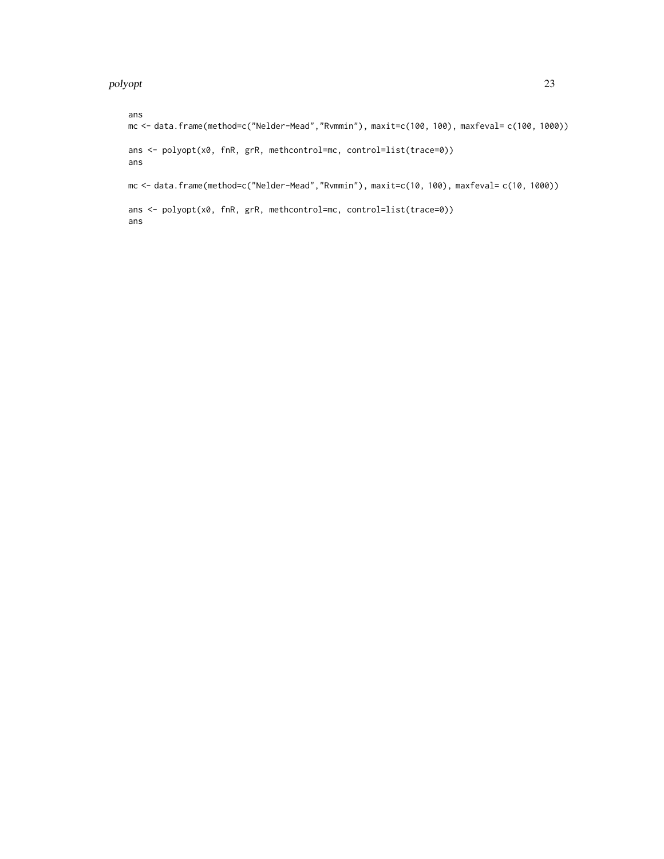ans mc <- data.frame(method=c("Nelder-Mead","Rvmmin"), maxit=c(100, 100), maxfeval= c(100, 1000)) ans <- polyopt(x0, fnR, grR, methcontrol=mc, control=list(trace=0)) ans mc <- data.frame(method=c("Nelder-Mead","Rvmmin"), maxit=c(10, 100), maxfeval= c(10, 1000)) ans <- polyopt(x0, fnR, grR, methcontrol=mc, control=list(trace=0)) ans